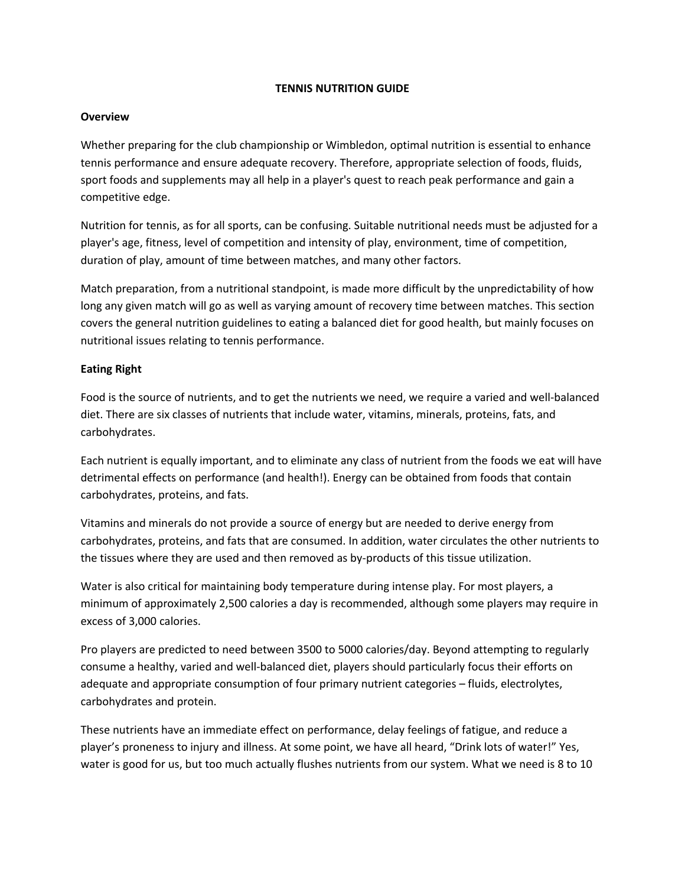# **TENNIS NUTRITION GUIDE**

# **Overview**

Whether preparing for the club championship or Wimbledon, optimal nutrition is essential to enhance tennis performance and ensure adequate recovery. Therefore, appropriate selection of foods, fluids, sport foods and supplements may all help in a player's quest to reach peak performance and gain a competitive edge.

Nutrition for tennis, as for all sports, can be confusing. Suitable nutritional needs must be adjusted for a player's age, fitness, level of competition and intensity of play, environment, time of competition, duration of play, amount of time between matches, and many other factors.

Match preparation, from a nutritional standpoint, is made more difficult by the unpredictability of how long any given match will go as well as varying amount of recovery time between matches. This section covers the general nutrition guidelines to eating a balanced diet for good health, but mainly focuses on nutritional issues relating to tennis performance.

# **Eating Right**

Food is the source of nutrients, and to get the nutrients we need, we require a varied and well-balanced diet. There are six classes of nutrients that include water, vitamins, minerals, proteins, fats, and carbohydrates.

Each nutrient is equally important, and to eliminate any class of nutrient from the foods we eat will have detrimental effects on performance (and health!). Energy can be obtained from foods that contain carbohydrates, proteins, and fats.

Vitamins and minerals do not provide a source of energy but are needed to derive energy from carbohydrates, proteins, and fats that are consumed. In addition, water circulates the other nutrients to the tissues where they are used and then removed as by-products of this tissue utilization.

Water is also critical for maintaining body temperature during intense play. For most players, a minimum of approximately 2,500 calories a day is recommended, although some players may require in excess of 3,000 calories.

Pro players are predicted to need between 3500 to 5000 calories/day. Beyond attempting to regularly consume a healthy, varied and well-balanced diet, players should particularly focus their efforts on adequate and appropriate consumption of four primary nutrient categories – fluids, electrolytes, carbohydrates and protein.

These nutrients have an immediate effect on performance, delay feelings of fatigue, and reduce a player's proneness to injury and illness. At some point, we have all heard, "Drink lots of water!" Yes, water is good for us, but too much actually flushes nutrients from our system. What we need is 8 to 10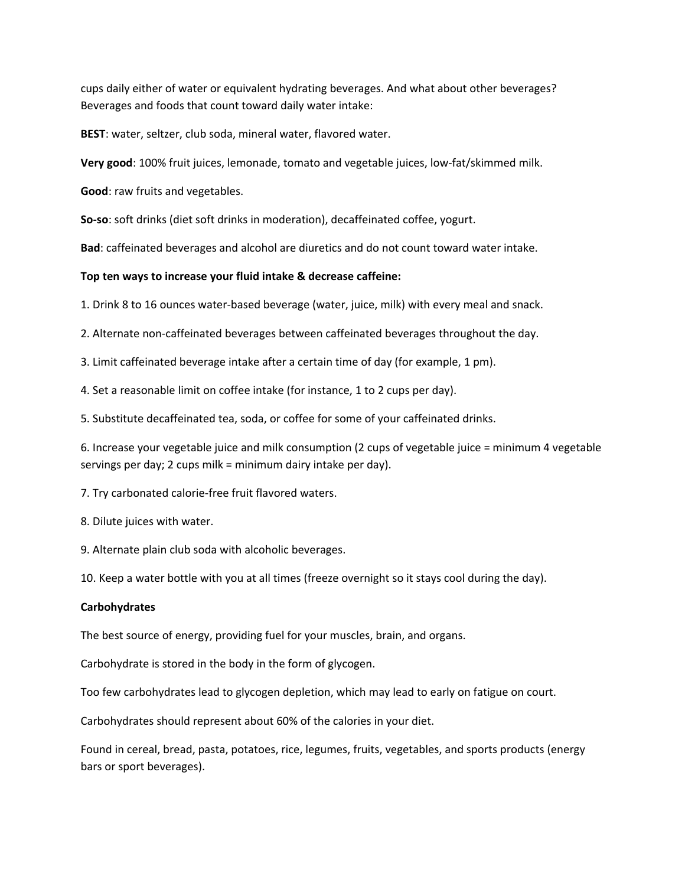cups daily either of water or equivalent hydrating beverages. And what about other beverages? Beverages and foods that count toward daily water intake:

**BEST**: water, seltzer, club soda, mineral water, flavored water.

**Very good**: 100% fruit juices, lemonade, tomato and vegetable juices, low-fat/skimmed milk.

**Good**: raw fruits and vegetables.

**So-so**: soft drinks (diet soft drinks in moderation), decaffeinated coffee, yogurt.

**Bad**: caffeinated beverages and alcohol are diuretics and do not count toward water intake.

#### **Top ten ways to increase your fluid intake & decrease caffeine:**

1. Drink 8 to 16 ounces water-based beverage (water, juice, milk) with every meal and snack.

2. Alternate non-caffeinated beverages between caffeinated beverages throughout the day.

3. Limit caffeinated beverage intake after a certain time of day (for example, 1 pm).

4. Set a reasonable limit on coffee intake (for instance, 1 to 2 cups per day).

5. Substitute decaffeinated tea, soda, or coffee for some of your caffeinated drinks.

6. Increase your vegetable juice and milk consumption (2 cups of vegetable juice = minimum 4 vegetable servings per day; 2 cups milk = minimum dairy intake per day).

7. Try carbonated calorie-free fruit flavored waters.

8. Dilute juices with water.

9. Alternate plain club soda with alcoholic beverages.

10. Keep a water bottle with you at all times (freeze overnight so it stays cool during the day).

#### **Carbohydrates**

The best source of energy, providing fuel for your muscles, brain, and organs.

Carbohydrate is stored in the body in the form of glycogen.

Too few carbohydrates lead to glycogen depletion, which may lead to early on fatigue on court.

Carbohydrates should represent about 60% of the calories in your diet.

Found in cereal, bread, pasta, potatoes, rice, legumes, fruits, vegetables, and sports products (energy bars or sport beverages).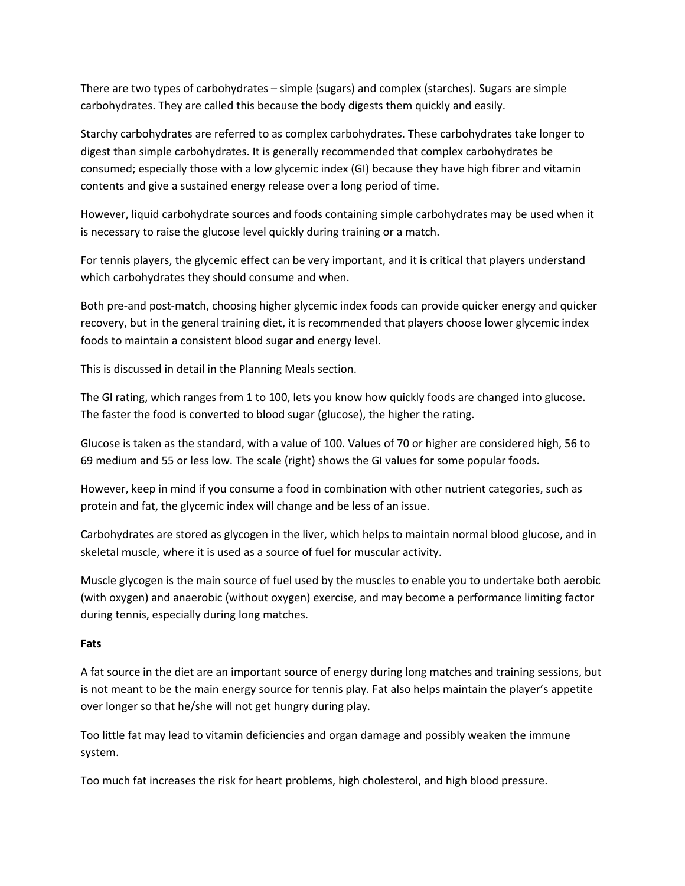There are two types of carbohydrates – simple (sugars) and complex (starches). Sugars are simple carbohydrates. They are called this because the body digests them quickly and easily.

Starchy carbohydrates are referred to as complex carbohydrates. These carbohydrates take longer to digest than simple carbohydrates. It is generally recommended that complex carbohydrates be consumed; especially those with a low glycemic index (GI) because they have high fibrer and vitamin contents and give a sustained energy release over a long period of time.

However, liquid carbohydrate sources and foods containing simple carbohydrates may be used when it is necessary to raise the glucose level quickly during training or a match.

For tennis players, the glycemic effect can be very important, and it is critical that players understand which carbohydrates they should consume and when.

Both pre-and post-match, choosing higher glycemic index foods can provide quicker energy and quicker recovery, but in the general training diet, it is recommended that players choose lower glycemic index foods to maintain a consistent blood sugar and energy level.

This is discussed in detail in the Planning Meals section.

The GI rating, which ranges from 1 to 100, lets you know how quickly foods are changed into glucose. The faster the food is converted to blood sugar (glucose), the higher the rating.

Glucose is taken as the standard, with a value of 100. Values of 70 or higher are considered high, 56 to 69 medium and 55 or less low. The scale (right) shows the GI values for some popular foods.

However, keep in mind if you consume a food in combination with other nutrient categories, such as protein and fat, the glycemic index will change and be less of an issue.

Carbohydrates are stored as glycogen in the liver, which helps to maintain normal blood glucose, and in skeletal muscle, where it is used as a source of fuel for muscular activity.

Muscle glycogen is the main source of fuel used by the muscles to enable you to undertake both aerobic (with oxygen) and anaerobic (without oxygen) exercise, and may become a performance limiting factor during tennis, especially during long matches.

# **Fats**

A fat source in the diet are an important source of energy during long matches and training sessions, but is not meant to be the main energy source for tennis play. Fat also helps maintain the player's appetite over longer so that he/she will not get hungry during play.

Too little fat may lead to vitamin deficiencies and organ damage and possibly weaken the immune system.

Too much fat increases the risk for heart problems, high cholesterol, and high blood pressure.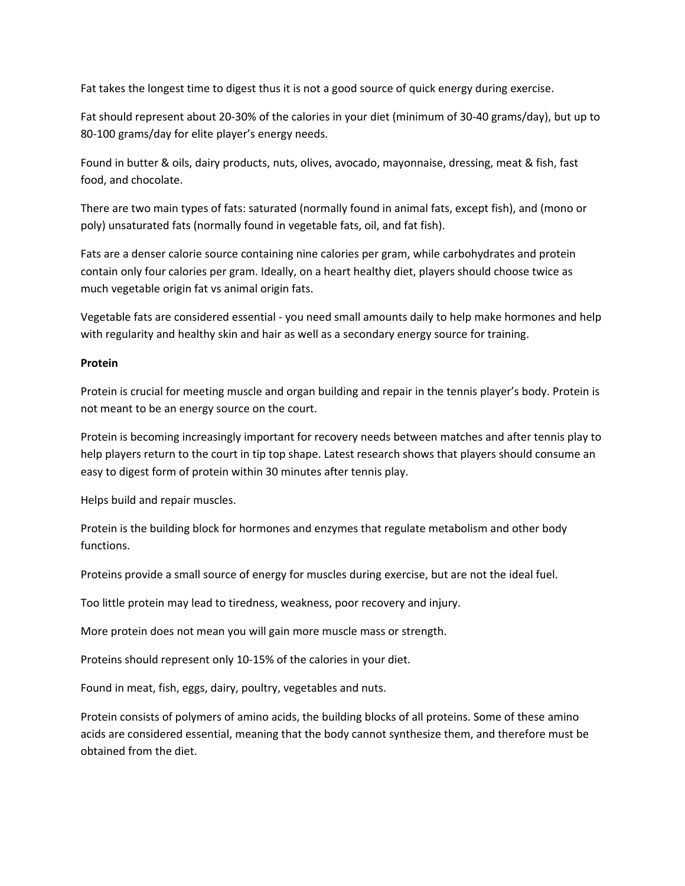Fat takes the longest time to digest thus it is not a good source of quick energy during exercise.

Fat should represent about 20-30% of the calories in your diet (minimum of 30-40 grams/day), but up to 80-100 grams/day for elite player's energy needs.

Found in butter & oils, dairy products, nuts, olives, avocado, mayonnaise, dressing, meat & fish, fast food, and chocolate.

There are two main types of fats: saturated (normally found in animal fats, except fish), and (mono or poly) unsaturated fats (normally found in vegetable fats, oil, and fat fish).

Fats are a denser calorie source containing nine calories per gram, while carbohydrates and protein contain only four calories per gram. Ideally, on a heart healthy diet, players should choose twice as much vegetable origin fat vs animal origin fats.

Vegetable fats are considered essential - you need small amounts daily to help make hormones and help with regularity and healthy skin and hair as well as a secondary energy source for training.

# **Protein**

Protein is crucial for meeting muscle and organ building and repair in the tennis player's body. Protein is not meant to be an energy source on the court.

Protein is becoming increasingly important for recovery needs between matches and after tennis play to help players return to the court in tip top shape. Latest research shows that players should consume an easy to digest form of protein within 30 minutes after tennis play.

Helps build and repair muscles.

Protein is the building block for hormones and enzymes that regulate metabolism and other body functions.

Proteins provide a small source of energy for muscles during exercise, but are not the ideal fuel.

Too little protein may lead to tiredness, weakness, poor recovery and injury.

More protein does not mean you will gain more muscle mass or strength.

Proteins should represent only 10-15% of the calories in your diet.

Found in meat, fish, eggs, dairy, poultry, vegetables and nuts.

Protein consists of polymers of amino acids, the building blocks of all proteins. Some of these amino acids are considered essential, meaning that the body cannot synthesize them, and therefore must be obtained from the diet.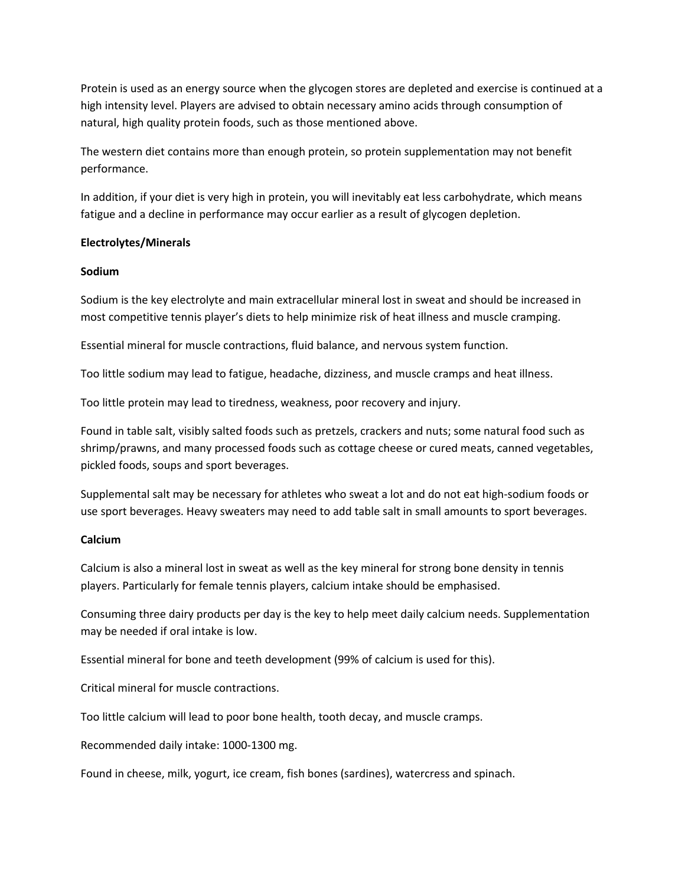Protein is used as an energy source when the glycogen stores are depleted and exercise is continued at a high intensity level. Players are advised to obtain necessary amino acids through consumption of natural, high quality protein foods, such as those mentioned above.

The western diet contains more than enough protein, so protein supplementation may not benefit performance.

In addition, if your diet is very high in protein, you will inevitably eat less carbohydrate, which means fatigue and a decline in performance may occur earlier as a result of glycogen depletion.

# **Electrolytes/Minerals**

# **Sodium**

Sodium is the key electrolyte and main extracellular mineral lost in sweat and should be increased in most competitive tennis player's diets to help minimize risk of heat illness and muscle cramping.

Essential mineral for muscle contractions, fluid balance, and nervous system function.

Too little sodium may lead to fatigue, headache, dizziness, and muscle cramps and heat illness.

Too little protein may lead to tiredness, weakness, poor recovery and injury.

Found in table salt, visibly salted foods such as pretzels, crackers and nuts; some natural food such as shrimp/prawns, and many processed foods such as cottage cheese or cured meats, canned vegetables, pickled foods, soups and sport beverages.

Supplemental salt may be necessary for athletes who sweat a lot and do not eat high-sodium foods or use sport beverages. Heavy sweaters may need to add table salt in small amounts to sport beverages.

# **Calcium**

Calcium is also a mineral lost in sweat as well as the key mineral for strong bone density in tennis players. Particularly for female tennis players, calcium intake should be emphasised.

Consuming three dairy products per day is the key to help meet daily calcium needs. Supplementation may be needed if oral intake is low.

Essential mineral for bone and teeth development (99% of calcium is used for this).

Critical mineral for muscle contractions.

Too little calcium will lead to poor bone health, tooth decay, and muscle cramps.

Recommended daily intake: 1000-1300 mg.

Found in cheese, milk, yogurt, ice cream, fish bones (sardines), watercress and spinach.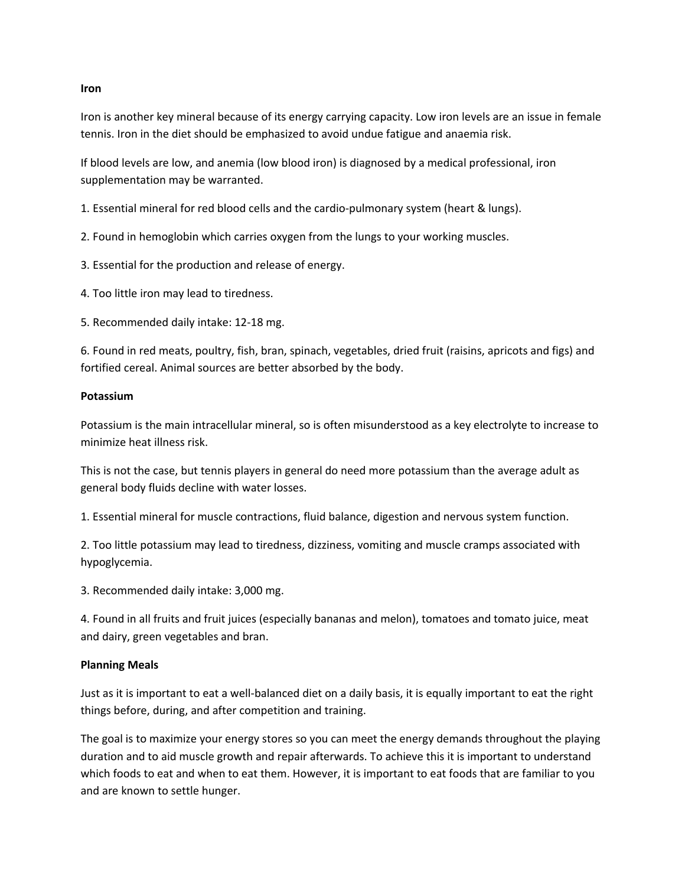#### **Iron**

Iron is another key mineral because of its energy carrying capacity. Low iron levels are an issue in female tennis. Iron in the diet should be emphasized to avoid undue fatigue and anaemia risk.

If blood levels are low, and anemia (low blood iron) is diagnosed by a medical professional, iron supplementation may be warranted.

1. Essential mineral for red blood cells and the cardio-pulmonary system (heart & lungs).

2. Found in hemoglobin which carries oxygen from the lungs to your working muscles.

3. Essential for the production and release of energy.

4. Too little iron may lead to tiredness.

5. Recommended daily intake: 12-18 mg.

6. Found in red meats, poultry, fish, bran, spinach, vegetables, dried fruit (raisins, apricots and figs) and fortified cereal. Animal sources are better absorbed by the body.

#### **Potassium**

Potassium is the main intracellular mineral, so is often misunderstood as a key electrolyte to increase to minimize heat illness risk.

This is not the case, but tennis players in general do need more potassium than the average adult as general body fluids decline with water losses.

1. Essential mineral for muscle contractions, fluid balance, digestion and nervous system function.

2. Too little potassium may lead to tiredness, dizziness, vomiting and muscle cramps associated with hypoglycemia.

3. Recommended daily intake: 3,000 mg.

4. Found in all fruits and fruit juices (especially bananas and melon), tomatoes and tomato juice, meat and dairy, green vegetables and bran.

# **Planning Meals**

Just as it is important to eat a well-balanced diet on a daily basis, it is equally important to eat the right things before, during, and after competition and training.

The goal is to maximize your energy stores so you can meet the energy demands throughout the playing duration and to aid muscle growth and repair afterwards. To achieve this it is important to understand which foods to eat and when to eat them. However, it is important to eat foods that are familiar to you and are known to settle hunger.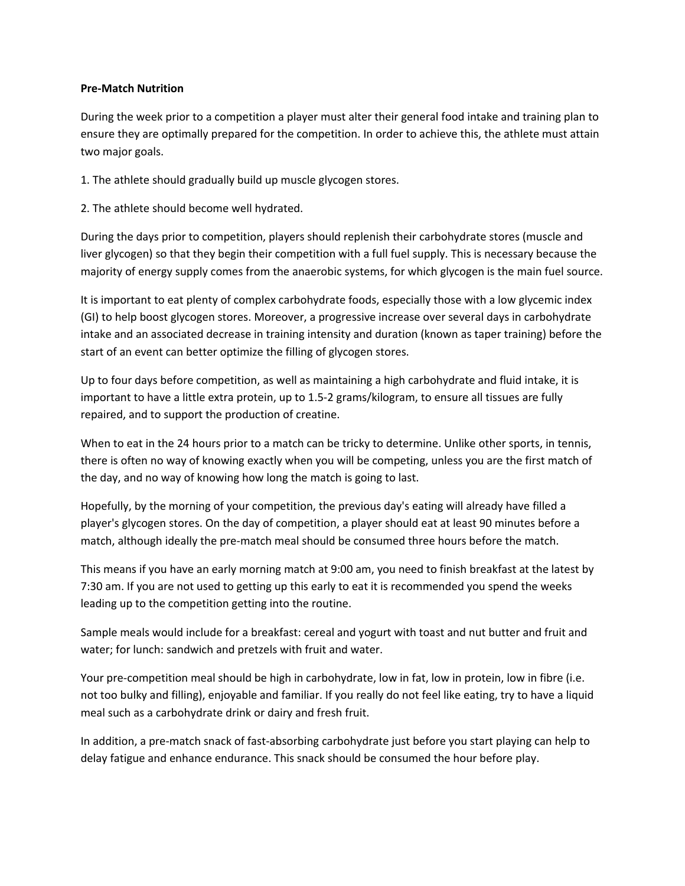# **Pre-Match Nutrition**

During the week prior to a competition a player must alter their general food intake and training plan to ensure they are optimally prepared for the competition. In order to achieve this, the athlete must attain two major goals.

1. The athlete should gradually build up muscle glycogen stores.

2. The athlete should become well hydrated.

During the days prior to competition, players should replenish their carbohydrate stores (muscle and liver glycogen) so that they begin their competition with a full fuel supply. This is necessary because the majority of energy supply comes from the anaerobic systems, for which glycogen is the main fuel source.

It is important to eat plenty of complex carbohydrate foods, especially those with a low glycemic index (GI) to help boost glycogen stores. Moreover, a progressive increase over several days in carbohydrate intake and an associated decrease in training intensity and duration (known as taper training) before the start of an event can better optimize the filling of glycogen stores.

Up to four days before competition, as well as maintaining a high carbohydrate and fluid intake, it is important to have a little extra protein, up to 1.5-2 grams/kilogram, to ensure all tissues are fully repaired, and to support the production of creatine.

When to eat in the 24 hours prior to a match can be tricky to determine. Unlike other sports, in tennis, there is often no way of knowing exactly when you will be competing, unless you are the first match of the day, and no way of knowing how long the match is going to last.

Hopefully, by the morning of your competition, the previous day's eating will already have filled a player's glycogen stores. On the day of competition, a player should eat at least 90 minutes before a match, although ideally the pre-match meal should be consumed three hours before the match.

This means if you have an early morning match at 9:00 am, you need to finish breakfast at the latest by 7:30 am. If you are not used to getting up this early to eat it is recommended you spend the weeks leading up to the competition getting into the routine.

Sample meals would include for a breakfast: cereal and yogurt with toast and nut butter and fruit and water; for lunch: sandwich and pretzels with fruit and water.

Your pre-competition meal should be high in carbohydrate, low in fat, low in protein, low in fibre (i.e. not too bulky and filling), enjoyable and familiar. If you really do not feel like eating, try to have a liquid meal such as a carbohydrate drink or dairy and fresh fruit.

In addition, a pre-match snack of fast-absorbing carbohydrate just before you start playing can help to delay fatigue and enhance endurance. This snack should be consumed the hour before play.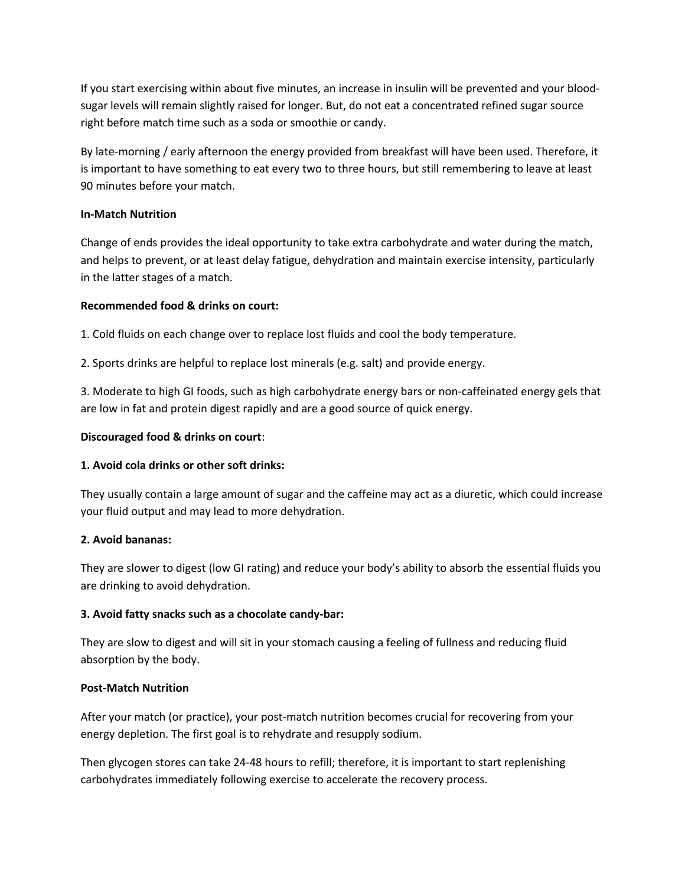If you start exercising within about five minutes, an increase in insulin will be prevented and your bloodsugar levels will remain slightly raised for longer. But, do not eat a concentrated refined sugar source right before match time such as a soda or smoothie or candy.

By late-morning / early afternoon the energy provided from breakfast will have been used. Therefore, it is important to have something to eat every two to three hours, but still remembering to leave at least 90 minutes before your match.

# **In-Match Nutrition**

Change of ends provides the ideal opportunity to take extra carbohydrate and water during the match, and helps to prevent, or at least delay fatigue, dehydration and maintain exercise intensity, particularly in the latter stages of a match.

# **Recommended food & drinks on court:**

1. Cold fluids on each change over to replace lost fluids and cool the body temperature.

2. Sports drinks are helpful to replace lost minerals (e.g. salt) and provide energy.

3. Moderate to high GI foods, such as high carbohydrate energy bars or non-caffeinated energy gels that are low in fat and protein digest rapidly and are a good source of quick energy.

# **Discouraged food & drinks on court**:

# **1. Avoid cola drinks or other soft drinks:**

They usually contain a large amount of sugar and the caffeine may act as a diuretic, which could increase your fluid output and may lead to more dehydration.

# **2. Avoid bananas:**

They are slower to digest (low GI rating) and reduce your body's ability to absorb the essential fluids you are drinking to avoid dehydration.

# **3. Avoid fatty snacks such as a chocolate candy-bar:**

They are slow to digest and will sit in your stomach causing a feeling of fullness and reducing fluid absorption by the body.

# **Post-Match Nutrition**

After your match (or practice), your post-match nutrition becomes crucial for recovering from your energy depletion. The first goal is to rehydrate and resupply sodium.

Then glycogen stores can take 24-48 hours to refill; therefore, it is important to start replenishing carbohydrates immediately following exercise to accelerate the recovery process.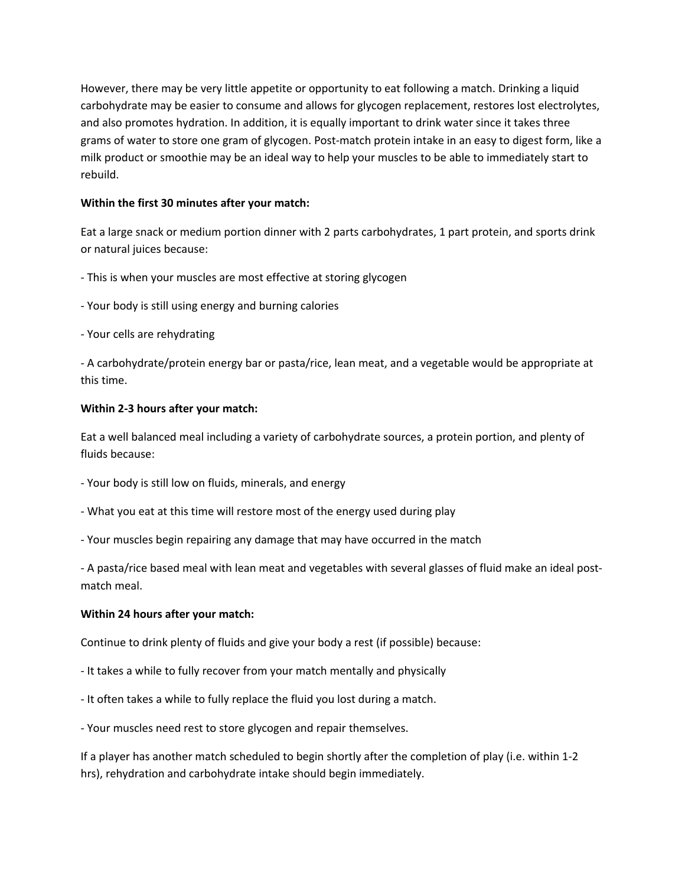However, there may be very little appetite or opportunity to eat following a match. Drinking a liquid carbohydrate may be easier to consume and allows for glycogen replacement, restores lost electrolytes, and also promotes hydration. In addition, it is equally important to drink water since it takes three grams of water to store one gram of glycogen. Post-match protein intake in an easy to digest form, like a milk product or smoothie may be an ideal way to help your muscles to be able to immediately start to rebuild.

# **Within the first 30 minutes after your match:**

Eat a large snack or medium portion dinner with 2 parts carbohydrates, 1 part protein, and sports drink or natural juices because:

- This is when your muscles are most effective at storing glycogen

- Your body is still using energy and burning calories
- Your cells are rehydrating

- A carbohydrate/protein energy bar or pasta/rice, lean meat, and a vegetable would be appropriate at this time.

# **Within 2-3 hours after your match:**

Eat a well balanced meal including a variety of carbohydrate sources, a protein portion, and plenty of fluids because:

- Your body is still low on fluids, minerals, and energy
- What you eat at this time will restore most of the energy used during play
- Your muscles begin repairing any damage that may have occurred in the match

- A pasta/rice based meal with lean meat and vegetables with several glasses of fluid make an ideal postmatch meal.

# **Within 24 hours after your match:**

Continue to drink plenty of fluids and give your body a rest (if possible) because:

- It takes a while to fully recover from your match mentally and physically
- It often takes a while to fully replace the fluid you lost during a match.
- Your muscles need rest to store glycogen and repair themselves.

If a player has another match scheduled to begin shortly after the completion of play (i.e. within 1-2 hrs), rehydration and carbohydrate intake should begin immediately.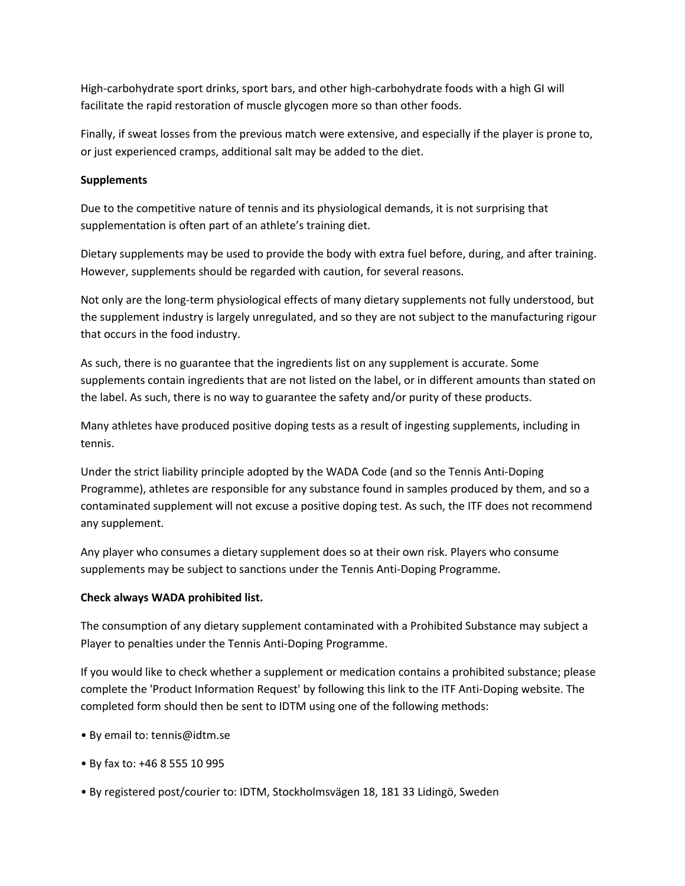High-carbohydrate sport drinks, sport bars, and other high-carbohydrate foods with a high GI will facilitate the rapid restoration of muscle glycogen more so than other foods.

Finally, if sweat losses from the previous match were extensive, and especially if the player is prone to, or just experienced cramps, additional salt may be added to the diet.

# **Supplements**

Due to the competitive nature of tennis and its physiological demands, it is not surprising that supplementation is often part of an athlete's training diet.

Dietary supplements may be used to provide the body with extra fuel before, during, and after training. However, supplements should be regarded with caution, for several reasons.

Not only are the long-term physiological effects of many dietary supplements not fully understood, but the supplement industry is largely unregulated, and so they are not subject to the manufacturing rigour that occurs in the food industry.

As such, there is no guarantee that the ingredients list on any supplement is accurate. Some supplements contain ingredients that are not listed on the label, or in different amounts than stated on the label. As such, there is no way to guarantee the safety and/or purity of these products.

Many athletes have produced positive doping tests as a result of ingesting supplements, including in tennis.

Under the strict liability principle adopted by the WADA Code (and so the Tennis Anti-Doping Programme), athletes are responsible for any substance found in samples produced by them, and so a contaminated supplement will not excuse a positive doping test. As such, the ITF does not recommend any supplement.

Any player who consumes a dietary supplement does so at their own risk. Players who consume supplements may be subject to sanctions under the Tennis Anti-Doping Programme.

# **Check always WADA prohibited list.**

The consumption of any dietary supplement contaminated with a Prohibited Substance may subject a Player to penalties under the Tennis Anti-Doping Programme.

If you would like to check whether a supplement or medication contains a prohibited substance; please complete the 'Product Information Request' by following this link to the ITF Anti-Doping website. The completed form should then be sent to IDTM using one of the following methods:

- By email to: tennis@idtm.se
- By fax to: +46 8 555 10 995
- By registered post/courier to: IDTM, Stockholmsvägen 18, 181 33 Lidingö, Sweden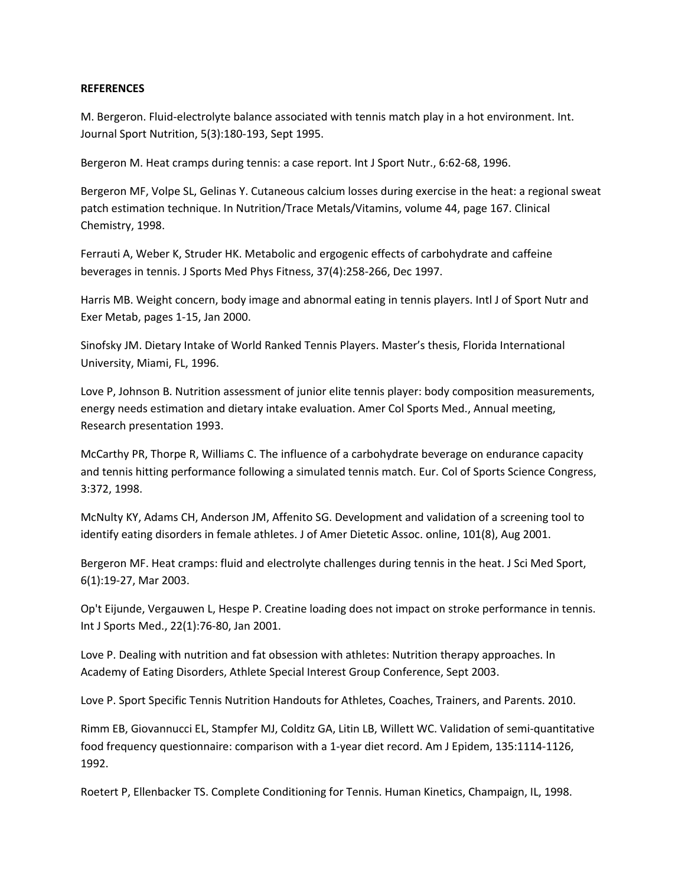#### **REFERENCES**

M. Bergeron. Fluid-electrolyte balance associated with tennis match play in a hot environment. Int. Journal Sport Nutrition, 5(3):180-193, Sept 1995.

Bergeron M. Heat cramps during tennis: a case report. Int J Sport Nutr., 6:62-68, 1996.

Bergeron MF, Volpe SL, Gelinas Y. Cutaneous calcium losses during exercise in the heat: a regional sweat patch estimation technique. In Nutrition/Trace Metals/Vitamins, volume 44, page 167. Clinical Chemistry, 1998.

Ferrauti A, Weber K, Struder HK. Metabolic and ergogenic effects of carbohydrate and caffeine beverages in tennis. J Sports Med Phys Fitness, 37(4):258-266, Dec 1997.

Harris MB. Weight concern, body image and abnormal eating in tennis players. Intl J of Sport Nutr and Exer Metab, pages 1-15, Jan 2000.

Sinofsky JM. Dietary Intake of World Ranked Tennis Players. Master's thesis, Florida International University, Miami, FL, 1996.

Love P, Johnson B. Nutrition assessment of junior elite tennis player: body composition measurements, energy needs estimation and dietary intake evaluation. Amer Col Sports Med., Annual meeting, Research presentation 1993.

McCarthy PR, Thorpe R, Williams C. The influence of a carbohydrate beverage on endurance capacity and tennis hitting performance following a simulated tennis match. Eur. Col of Sports Science Congress, 3:372, 1998.

McNulty KY, Adams CH, Anderson JM, Affenito SG. Development and validation of a screening tool to identify eating disorders in female athletes. J of Amer Dietetic Assoc. online, 101(8), Aug 2001.

Bergeron MF. Heat cramps: fluid and electrolyte challenges during tennis in the heat. J Sci Med Sport, 6(1):19-27, Mar 2003.

Op't Eijunde, Vergauwen L, Hespe P. Creatine loading does not impact on stroke performance in tennis. Int J Sports Med., 22(1):76-80, Jan 2001.

Love P. Dealing with nutrition and fat obsession with athletes: Nutrition therapy approaches. In Academy of Eating Disorders, Athlete Special Interest Group Conference, Sept 2003.

Love P. Sport Specific Tennis Nutrition Handouts for Athletes, Coaches, Trainers, and Parents. 2010.

Rimm EB, Giovannucci EL, Stampfer MJ, Colditz GA, Litin LB, Willett WC. Validation of semi-quantitative food frequency questionnaire: comparison with a 1-year diet record. Am J Epidem, 135:1114-1126, 1992.

Roetert P, Ellenbacker TS. Complete Conditioning for Tennis. Human Kinetics, Champaign, IL, 1998.